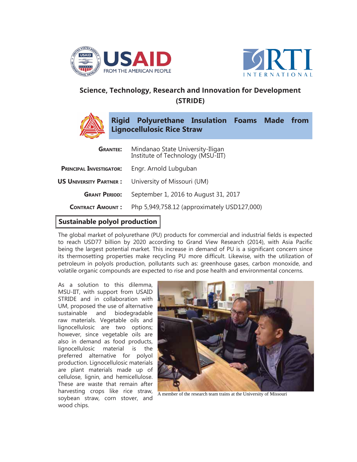



## **Science, Technology, Research and Innovation for Development (STRIDE)**



**Rigid Polyurethane Insulation Foams Made from Lignocellulosic Rice Straw**

| <b>GRANTEE:</b>                | Mindanao State University-Iligan<br>Institute of Technology (MSU-IIT) |
|--------------------------------|-----------------------------------------------------------------------|
| <b>PRINCIPAL INVESTIGATOR:</b> | Engr. Arnold Lubguban                                                 |
| <b>US UNIVERSITY PARTNER:</b>  | University of Missouri (UM)                                           |
| <b>GRANT PERIOD:</b>           | September 1, 2016 to August 31, 2017                                  |
| <b>CONTRACT AMOUNT:</b>        | Php 5,949,758.12 (approximately USD127,000)                           |
|                                |                                                                       |

## **Sustainable polyol production**

The global market of polyurethane (PU) products for commercial and industrial fields is expected to reach USD77 billion by 2020 according to Grand View Research (2014), with Asia Pacific being the largest potential market. This increase in demand of PU is a significant concern since its thermosetting properties make recycling PU more difficult. Likewise, with the utilization of petroleum in polyols production, pollutants such as: greenhouse gases, carbon monoxide, and volatile organic compounds are expected to rise and pose health and environmental concerns.

As a solution to this dilemma, MSU-IIT, with support from USAID STRIDE and in collaboration with UM, proposed the use of alternative sustainable and biodegradable raw materials. Vegetable oils and lignocellulosic are two options; however, since vegetable oils are also in demand as food products, lignocellulosic material is the preferred alternative for polyol production. Lignocellulosic materials are plant materials made up of cellulose, lignin, and hemicellulose. These are waste that remain after harvesting crops like rice straw, soybean straw, corn stover, and wood chips.



A member of the research team trains at the University of Missouri